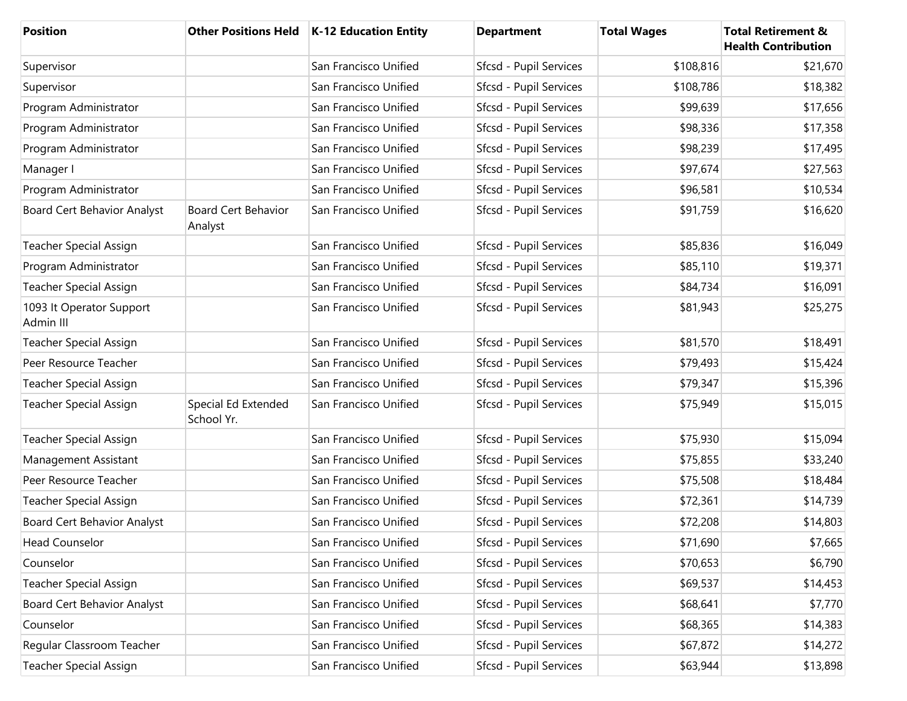| <b>Position</b>                       | <b>Other Positions Held</b>           | K-12 Education Entity | <b>Department</b>      | <b>Total Wages</b> | <b>Total Retirement &amp;</b><br><b>Health Contribution</b> |
|---------------------------------------|---------------------------------------|-----------------------|------------------------|--------------------|-------------------------------------------------------------|
| Supervisor                            |                                       | San Francisco Unified | Sfcsd - Pupil Services | \$108,816          | \$21,670                                                    |
| Supervisor                            |                                       | San Francisco Unified | Sfcsd - Pupil Services | \$108,786          | \$18,382                                                    |
| Program Administrator                 |                                       | San Francisco Unified | Sfcsd - Pupil Services | \$99,639           | \$17,656                                                    |
| Program Administrator                 |                                       | San Francisco Unified | Sfcsd - Pupil Services | \$98,336           | \$17,358                                                    |
| Program Administrator                 |                                       | San Francisco Unified | Sfcsd - Pupil Services | \$98,239           | \$17,495                                                    |
| Manager I                             |                                       | San Francisco Unified | Sfcsd - Pupil Services | \$97,674           | \$27,563                                                    |
| Program Administrator                 |                                       | San Francisco Unified | Sfcsd - Pupil Services | \$96,581           | \$10,534                                                    |
| <b>Board Cert Behavior Analyst</b>    | <b>Board Cert Behavior</b><br>Analyst | San Francisco Unified | Sfcsd - Pupil Services | \$91,759           | \$16,620                                                    |
| Teacher Special Assign                |                                       | San Francisco Unified | Sfcsd - Pupil Services | \$85,836           | \$16,049                                                    |
| Program Administrator                 |                                       | San Francisco Unified | Sfcsd - Pupil Services | \$85,110           | \$19,371                                                    |
| <b>Teacher Special Assign</b>         |                                       | San Francisco Unified | Sfcsd - Pupil Services | \$84,734           | \$16,091                                                    |
| 1093 It Operator Support<br>Admin III |                                       | San Francisco Unified | Sfcsd - Pupil Services | \$81,943           | \$25,275                                                    |
| <b>Teacher Special Assign</b>         |                                       | San Francisco Unified | Sfcsd - Pupil Services | \$81,570           | \$18,491                                                    |
| Peer Resource Teacher                 |                                       | San Francisco Unified | Sfcsd - Pupil Services | \$79,493           | \$15,424                                                    |
| <b>Teacher Special Assign</b>         |                                       | San Francisco Unified | Sfcsd - Pupil Services | \$79,347           | \$15,396                                                    |
| <b>Teacher Special Assign</b>         | Special Ed Extended<br>School Yr.     | San Francisco Unified | Sfcsd - Pupil Services | \$75,949           | \$15,015                                                    |
| <b>Teacher Special Assign</b>         |                                       | San Francisco Unified | Sfcsd - Pupil Services | \$75,930           | \$15,094                                                    |
| Management Assistant                  |                                       | San Francisco Unified | Sfcsd - Pupil Services | \$75,855           | \$33,240                                                    |
| Peer Resource Teacher                 |                                       | San Francisco Unified | Sfcsd - Pupil Services | \$75,508           | \$18,484                                                    |
| <b>Teacher Special Assign</b>         |                                       | San Francisco Unified | Sfcsd - Pupil Services | \$72,361           | \$14,739                                                    |
| Board Cert Behavior Analyst           |                                       | San Francisco Unified | Sfcsd - Pupil Services | \$72,208           | \$14,803                                                    |
| <b>Head Counselor</b>                 |                                       | San Francisco Unified | Sfcsd - Pupil Services | \$71,690           | \$7,665                                                     |
| Counselor                             |                                       | San Francisco Unified | Sfcsd - Pupil Services | \$70,653           | \$6,790                                                     |
| <b>Teacher Special Assign</b>         |                                       | San Francisco Unified | Sfcsd - Pupil Services | \$69,537           | \$14,453                                                    |
| Board Cert Behavior Analyst           |                                       | San Francisco Unified | Sfcsd - Pupil Services | \$68,641           | \$7,770                                                     |
| Counselor                             |                                       | San Francisco Unified | Sfcsd - Pupil Services | \$68,365           | \$14,383                                                    |
| Regular Classroom Teacher             |                                       | San Francisco Unified | Sfcsd - Pupil Services | \$67,872           | \$14,272                                                    |
| <b>Teacher Special Assign</b>         |                                       | San Francisco Unified | Sfcsd - Pupil Services | \$63,944           | \$13,898                                                    |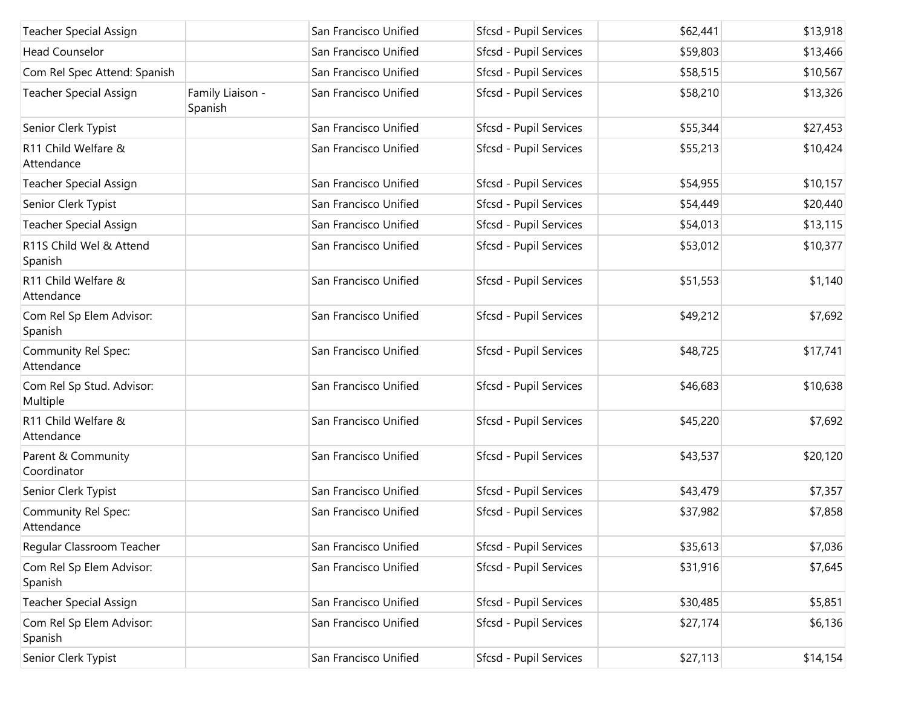| <b>Teacher Special Assign</b>         |                             | San Francisco Unified | Sfcsd - Pupil Services | \$62,441 | \$13,918 |
|---------------------------------------|-----------------------------|-----------------------|------------------------|----------|----------|
| <b>Head Counselor</b>                 |                             | San Francisco Unified | Sfcsd - Pupil Services | \$59,803 | \$13,466 |
| Com Rel Spec Attend: Spanish          |                             | San Francisco Unified | Sfcsd - Pupil Services | \$58,515 | \$10,567 |
| Teacher Special Assign                | Family Liaison -<br>Spanish | San Francisco Unified | Sfcsd - Pupil Services | \$58,210 | \$13,326 |
| Senior Clerk Typist                   |                             | San Francisco Unified | Sfcsd - Pupil Services | \$55,344 | \$27,453 |
| R11 Child Welfare &<br>Attendance     |                             | San Francisco Unified | Sfcsd - Pupil Services | \$55,213 | \$10,424 |
| <b>Teacher Special Assign</b>         |                             | San Francisco Unified | Sfcsd - Pupil Services | \$54,955 | \$10,157 |
| Senior Clerk Typist                   |                             | San Francisco Unified | Sfcsd - Pupil Services | \$54,449 | \$20,440 |
| <b>Teacher Special Assign</b>         |                             | San Francisco Unified | Sfcsd - Pupil Services | \$54,013 | \$13,115 |
| R11S Child Wel & Attend<br>Spanish    |                             | San Francisco Unified | Sfcsd - Pupil Services | \$53,012 | \$10,377 |
| R11 Child Welfare &<br>Attendance     |                             | San Francisco Unified | Sfcsd - Pupil Services | \$51,553 | \$1,140  |
| Com Rel Sp Elem Advisor:<br>Spanish   |                             | San Francisco Unified | Sfcsd - Pupil Services | \$49,212 | \$7,692  |
| Community Rel Spec:<br>Attendance     |                             | San Francisco Unified | Sfcsd - Pupil Services | \$48,725 | \$17,741 |
| Com Rel Sp Stud. Advisor:<br>Multiple |                             | San Francisco Unified | Sfcsd - Pupil Services | \$46,683 | \$10,638 |
| R11 Child Welfare &<br>Attendance     |                             | San Francisco Unified | Sfcsd - Pupil Services | \$45,220 | \$7,692  |
| Parent & Community<br>Coordinator     |                             | San Francisco Unified | Sfcsd - Pupil Services | \$43,537 | \$20,120 |
| Senior Clerk Typist                   |                             | San Francisco Unified | Sfcsd - Pupil Services | \$43,479 | \$7,357  |
| Community Rel Spec:<br>Attendance     |                             | San Francisco Unified | Sfcsd - Pupil Services | \$37,982 | \$7,858  |
| Regular Classroom Teacher             |                             | San Francisco Unified | Sfcsd - Pupil Services | \$35,613 | \$7,036  |
| Com Rel Sp Elem Advisor:<br>Spanish   |                             | San Francisco Unified | Sfcsd - Pupil Services | \$31,916 | \$7,645  |
| <b>Teacher Special Assign</b>         |                             | San Francisco Unified | Sfcsd - Pupil Services | \$30,485 | \$5,851  |
| Com Rel Sp Elem Advisor:<br>Spanish   |                             | San Francisco Unified | Sfcsd - Pupil Services | \$27,174 | \$6,136  |
| Senior Clerk Typist                   |                             | San Francisco Unified | Sfcsd - Pupil Services | \$27,113 | \$14,154 |